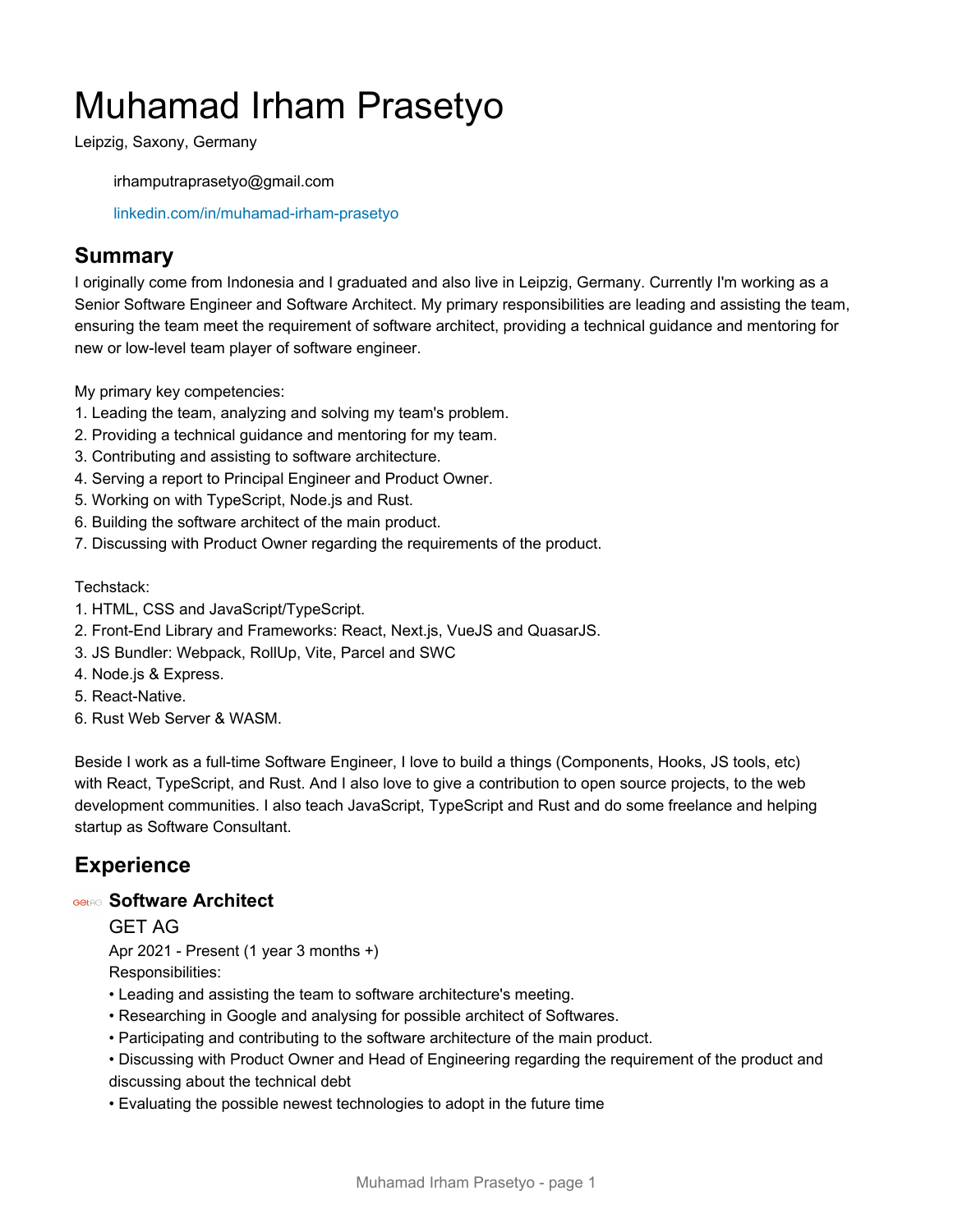# Muhamad Irham Prasetyo

Leipzig, Saxony, Germany

irhamputraprasetyo@gmail.com

[linkedin.com/in/muhamad-irham-prasetyo](https://www.linkedin.com/in/muhamad-irham-prasetyo)

# **Summary**

I originally come from Indonesia and I graduated and also live in Leipzig, Germany. Currently I'm working as a Senior Software Engineer and Software Architect. My primary responsibilities are leading and assisting the team, ensuring the team meet the requirement of software architect, providing a technical guidance and mentoring for new or low-level team player of software engineer.

My primary key competencies:

- 1. Leading the team, analyzing and solving my team's problem.
- 2. Providing a technical guidance and mentoring for my team.
- 3. Contributing and assisting to software architecture.
- 4. Serving a report to Principal Engineer and Product Owner.
- 5. Working on with TypeScript, Node.js and Rust.
- 6. Building the software architect of the main product.
- 7. Discussing with Product Owner regarding the requirements of the product.

#### Techstack:

- 1. HTML, CSS and JavaScript/TypeScript.
- 2. Front-End Library and Frameworks: React, Next.js, VueJS and QuasarJS.
- 3. JS Bundler: Webpack, RollUp, Vite, Parcel and SWC
- 4. Node.js & Express.
- 5. React-Native.
- 6. Rust Web Server & WASM.

Beside I work as a full-time Software Engineer, I love to build a things (Components, Hooks, JS tools, etc) with React, TypeScript, and Rust. And I also love to give a contribution to open source projects, to the web development communities. I also teach JavaScript, TypeScript and Rust and do some freelance and helping startup as Software Consultant.

# **Experience**

#### **Software Architect**

#### GET AG

Apr 2021 - Present (1 year 3 months +) Responsibilities:

- Leading and assisting the team to software architecture's meeting.
- Researching in Google and analysing for possible architect of Softwares.
- Participating and contributing to the software architecture of the main product.
- Discussing with Product Owner and Head of Engineering regarding the requirement of the product and discussing about the technical debt
- Evaluating the possible newest technologies to adopt in the future time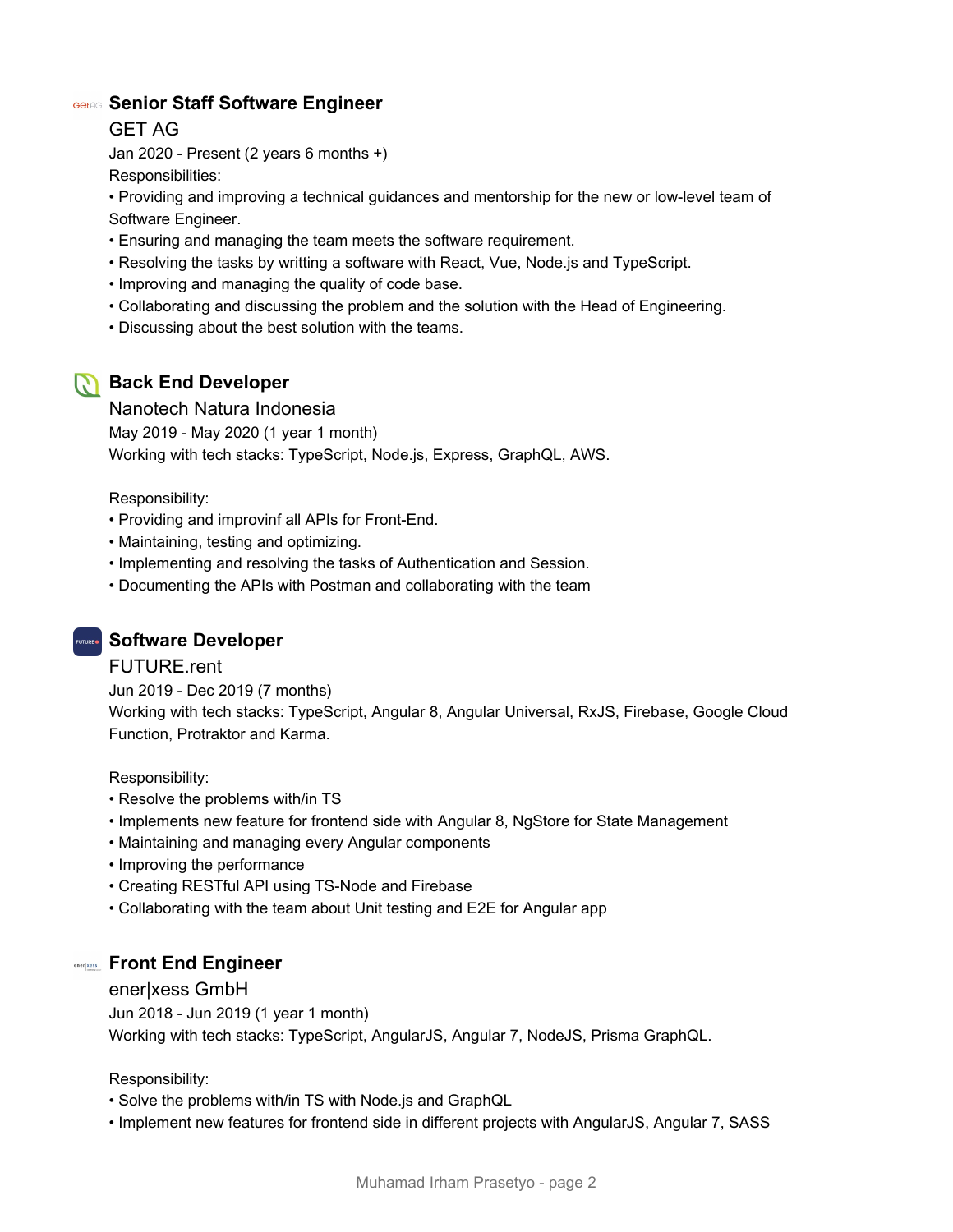#### **Senior Staff Software Engineer**

GET AG

Jan 2020 - Present (2 years 6 months +) Responsibilities:

• Providing and improving a technical guidances and mentorship for the new or low-level team of Software Engineer.

- Ensuring and managing the team meets the software requirement.
- Resolving the tasks by writting a software with React, Vue, Node.js and TypeScript.
- Improving and managing the quality of code base.
- Collaborating and discussing the problem and the solution with the Head of Engineering.
- Discussing about the best solution with the teams.

# **Back End Developer**

#### Nanotech Natura Indonesia

May 2019 - May 2020 (1 year 1 month) Working with tech stacks: TypeScript, Node.js, Express, GraphQL, AWS.

Responsibility:

- Providing and improvinf all APIs for Front-End.
- Maintaining, testing and optimizing.
- Implementing and resolving the tasks of Authentication and Session.
- Documenting the APIs with Postman and collaborating with the team

## **Software Developer**

#### FUTURE.rent

Jun 2019 - Dec 2019 (7 months) Working with tech stacks: TypeScript, Angular 8, Angular Universal, RxJS, Firebase, Google Cloud Function, Protraktor and Karma.

Responsibility:

- Resolve the problems with/in TS
- Implements new feature for frontend side with Angular 8, NgStore for State Management
- Maintaining and managing every Angular components
- Improving the performance
- Creating RESTful API using TS-Node and Firebase
- Collaborating with the team about Unit testing and E2E for Angular app

#### **Front End Engineer**

#### ener|xess GmbH

Jun 2018 - Jun 2019 (1 year 1 month) Working with tech stacks: TypeScript, AngularJS, Angular 7, NodeJS, Prisma GraphQL.

Responsibility:

- Solve the problems with/in TS with Node.js and GraphQL
- Implement new features for frontend side in different projects with AngularJS, Angular 7, SASS